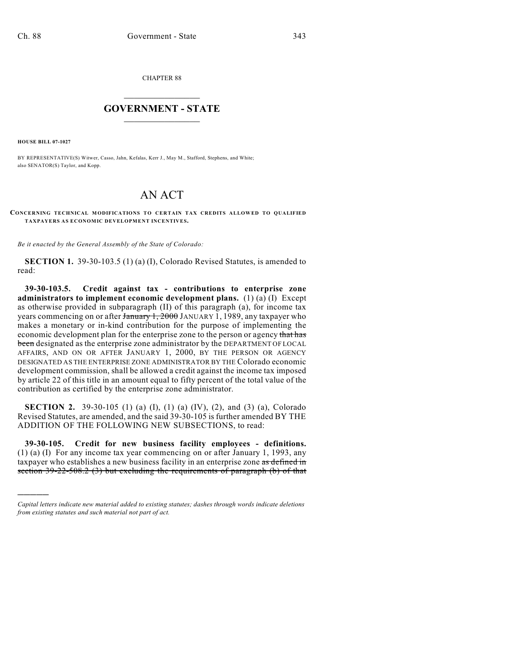CHAPTER 88

## $\overline{\phantom{a}}$  . The set of the set of the set of the set of the set of the set of the set of the set of the set of the set of the set of the set of the set of the set of the set of the set of the set of the set of the set o **GOVERNMENT - STATE**  $\_$

**HOUSE BILL 07-1027**

)))))

BY REPRESENTATIVE(S) Witwer, Casso, Jahn, Kefalas, Kerr J., May M., Stafford, Stephens, and White; also SENATOR(S) Taylor, and Kopp.

## AN ACT

**CONCERNING TECHNICAL MODIFICATIONS TO CERTAIN TAX CREDITS ALLOWED TO QUALIFIED TAXPAYERS AS ECONOMIC DEVELOPMENT INCENTIVES.**

*Be it enacted by the General Assembly of the State of Colorado:*

**SECTION 1.** 39-30-103.5 (1) (a) (I), Colorado Revised Statutes, is amended to read:

**39-30-103.5. Credit against tax - contributions to enterprise zone administrators to implement economic development plans.** (1) (a) (I) Except as otherwise provided in subparagraph (II) of this paragraph (a), for income tax years commencing on or after January 1, 2000 JANUARY 1, 1989, any taxpayer who makes a monetary or in-kind contribution for the purpose of implementing the economic development plan for the enterprise zone to the person or agency that has been designated as the enterprise zone administrator by the DEPARTMENT OF LOCAL AFFAIRS, AND ON OR AFTER JANUARY 1, 2000, BY THE PERSON OR AGENCY DESIGNATED AS THE ENTERPRISE ZONE ADMINISTRATOR BY THE Colorado economic development commission, shall be allowed a credit against the income tax imposed by article 22 of this title in an amount equal to fifty percent of the total value of the contribution as certified by the enterprise zone administrator.

**SECTION 2.** 39-30-105 (1) (a) (I), (1) (a) (IV), (2), and (3) (a), Colorado Revised Statutes, are amended, and the said 39-30-105 is further amended BY THE ADDITION OF THE FOLLOWING NEW SUBSECTIONS, to read:

**39-30-105. Credit for new business facility employees - definitions.** (1) (a) (I) For any income tax year commencing on or after January 1, 1993, any taxpayer who establishes a new business facility in an enterprise zone as defined in section 39-22-508.2 (3) but excluding the requirements of paragraph (b) of that

*Capital letters indicate new material added to existing statutes; dashes through words indicate deletions from existing statutes and such material not part of act.*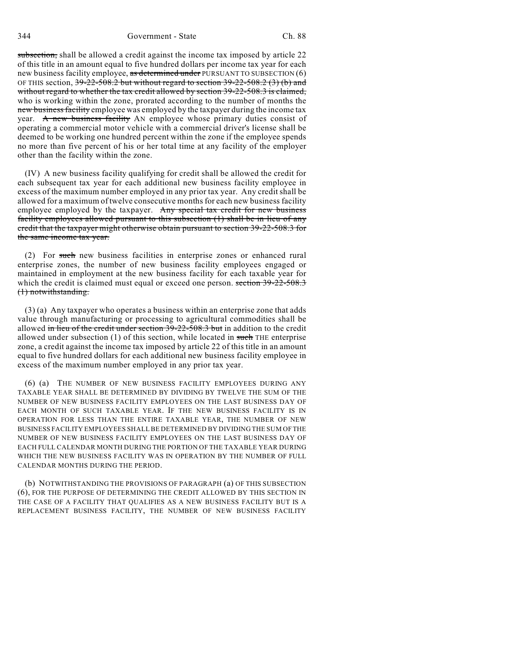subsection, shall be allowed a credit against the income tax imposed by article 22 of this title in an amount equal to five hundred dollars per income tax year for each new business facility employee, as determined under PURSUANT TO SUBSECTION (6) OF THIS section,  $39-22-508.2$  but without regard to section  $39-22-508.2$  (3) (b) and without regard to whether the tax credit allowed by section 39-22-508.3 is claimed, who is working within the zone, prorated according to the number of months the new business facility employee was employed by the taxpayer during the income tax year. A new business facility AN employee whose primary duties consist of operating a commercial motor vehicle with a commercial driver's license shall be deemed to be working one hundred percent within the zone if the employee spends no more than five percent of his or her total time at any facility of the employer other than the facility within the zone.

(IV) A new business facility qualifying for credit shall be allowed the credit for each subsequent tax year for each additional new business facility employee in excess of the maximum number employed in any prior tax year. Any credit shall be allowed for a maximum of twelve consecutive months for each new business facility employee employed by the taxpayer. Any special tax credit for new business facility employees allowed pursuant to this subsection (1) shall be in lieu of any credit that the taxpayer might otherwise obtain pursuant to section 39-22-508.3 for the same income tax year.

(2) For such new business facilities in enterprise zones or enhanced rural enterprise zones, the number of new business facility employees engaged or maintained in employment at the new business facility for each taxable year for which the credit is claimed must equal or exceed one person. section 39-22-508.3 (1) notwithstanding.

(3) (a) Any taxpayer who operates a business within an enterprise zone that adds value through manufacturing or processing to agricultural commodities shall be allowed in lieu of the credit under section 39-22-508.3 but in addition to the credit allowed under subsection  $(1)$  of this section, while located in such THE enterprise zone, a credit against the income tax imposed by article 22 of this title in an amount equal to five hundred dollars for each additional new business facility employee in excess of the maximum number employed in any prior tax year.

(6) (a) THE NUMBER OF NEW BUSINESS FACILITY EMPLOYEES DURING ANY TAXABLE YEAR SHALL BE DETERMINED BY DIVIDING BY TWELVE THE SUM OF THE NUMBER OF NEW BUSINESS FACILITY EMPLOYEES ON THE LAST BUSINESS DAY OF EACH MONTH OF SUCH TAXABLE YEAR. IF THE NEW BUSINESS FACILITY IS IN OPERATION FOR LESS THAN THE ENTIRE TAXABLE YEAR, THE NUMBER OF NEW BUSINESS FACILITY EMPLOYEES SHALL BE DETERMINED BY DIVIDING THE SUM OF THE NUMBER OF NEW BUSINESS FACILITY EMPLOYEES ON THE LAST BUSINESS DAY OF EACH FULL CALENDAR MONTH DURING THE PORTION OF THE TAXABLE YEAR DURING WHICH THE NEW BUSINESS FACILITY WAS IN OPERATION BY THE NUMBER OF FULL CALENDAR MONTHS DURING THE PERIOD.

(b) NOTWITHSTANDING THE PROVISIONS OF PARAGRAPH (a) OF THIS SUBSECTION (6), FOR THE PURPOSE OF DETERMINING THE CREDIT ALLOWED BY THIS SECTION IN THE CASE OF A FACILITY THAT QUALIFIES AS A NEW BUSINESS FACILITY BUT IS A REPLACEMENT BUSINESS FACILITY, THE NUMBER OF NEW BUSINESS FACILITY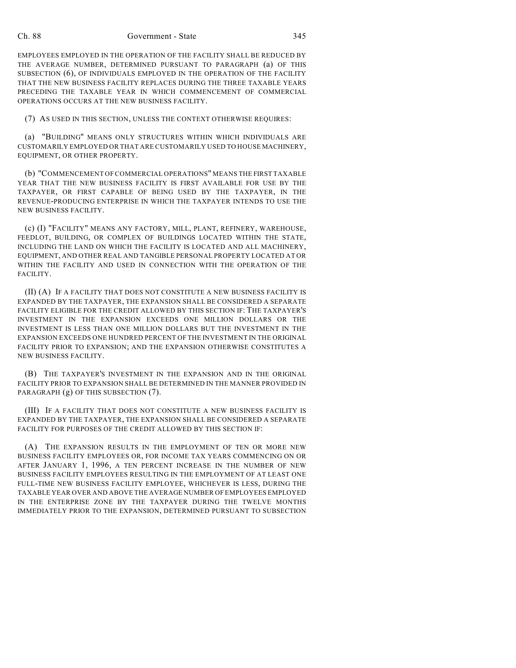## Ch. 88 Government - State 345

EMPLOYEES EMPLOYED IN THE OPERATION OF THE FACILITY SHALL BE REDUCED BY THE AVERAGE NUMBER, DETERMINED PURSUANT TO PARAGRAPH (a) OF THIS SUBSECTION (6), OF INDIVIDUALS EMPLOYED IN THE OPERATION OF THE FACILITY THAT THE NEW BUSINESS FACILITY REPLACES DURING THE THREE TAXABLE YEARS PRECEDING THE TAXABLE YEAR IN WHICH COMMENCEMENT OF COMMERCIAL OPERATIONS OCCURS AT THE NEW BUSINESS FACILITY.

(7) AS USED IN THIS SECTION, UNLESS THE CONTEXT OTHERWISE REQUIRES:

(a) "BUILDING" MEANS ONLY STRUCTURES WITHIN WHICH INDIVIDUALS ARE CUSTOMARILY EMPLOYED OR THAT ARE CUSTOMARILY USED TO HOUSE MACHINERY, EQUIPMENT, OR OTHER PROPERTY.

(b) "COMMENCEMENT OF COMMERCIAL OPERATIONS" MEANS THE FIRST TAXABLE YEAR THAT THE NEW BUSINESS FACILITY IS FIRST AVAILABLE FOR USE BY THE TAXPAYER, OR FIRST CAPABLE OF BEING USED BY THE TAXPAYER, IN THE REVENUE-PRODUCING ENTERPRISE IN WHICH THE TAXPAYER INTENDS TO USE THE NEW BUSINESS FACILITY.

(c) (I) "FACILITY" MEANS ANY FACTORY, MILL, PLANT, REFINERY, WAREHOUSE, FEEDLOT, BUILDING, OR COMPLEX OF BUILDINGS LOCATED WITHIN THE STATE, INCLUDING THE LAND ON WHICH THE FACILITY IS LOCATED AND ALL MACHINERY, EQUIPMENT, AND OTHER REAL AND TANGIBLE PERSONAL PROPERTY LOCATED AT OR WITHIN THE FACILITY AND USED IN CONNECTION WITH THE OPERATION OF THE FACILITY.

(II) (A) IF A FACILITY THAT DOES NOT CONSTITUTE A NEW BUSINESS FACILITY IS EXPANDED BY THE TAXPAYER, THE EXPANSION SHALL BE CONSIDERED A SEPARATE FACILITY ELIGIBLE FOR THE CREDIT ALLOWED BY THIS SECTION IF: THE TAXPAYER'S INVESTMENT IN THE EXPANSION EXCEEDS ONE MILLION DOLLARS OR THE INVESTMENT IS LESS THAN ONE MILLION DOLLARS BUT THE INVESTMENT IN THE EXPANSION EXCEEDS ONE HUNDRED PERCENT OF THE INVESTMENT IN THE ORIGINAL FACILITY PRIOR TO EXPANSION; AND THE EXPANSION OTHERWISE CONSTITUTES A NEW BUSINESS FACILITY.

(B) THE TAXPAYER'S INVESTMENT IN THE EXPANSION AND IN THE ORIGINAL FACILITY PRIOR TO EXPANSION SHALL BE DETERMINED IN THE MANNER PROVIDED IN PARAGRAPH (g) OF THIS SUBSECTION (7).

(III) IF A FACILITY THAT DOES NOT CONSTITUTE A NEW BUSINESS FACILITY IS EXPANDED BY THE TAXPAYER, THE EXPANSION SHALL BE CONSIDERED A SEPARATE FACILITY FOR PURPOSES OF THE CREDIT ALLOWED BY THIS SECTION IF:

(A) THE EXPANSION RESULTS IN THE EMPLOYMENT OF TEN OR MORE NEW BUSINESS FACILITY EMPLOYEES OR, FOR INCOME TAX YEARS COMMENCING ON OR AFTER JANUARY 1, 1996, A TEN PERCENT INCREASE IN THE NUMBER OF NEW BUSINESS FACILITY EMPLOYEES RESULTING IN THE EMPLOYMENT OF AT LEAST ONE FULL-TIME NEW BUSINESS FACILITY EMPLOYEE, WHICHEVER IS LESS, DURING THE TAXABLE YEAR OVER AND ABOVE THE AVERAGE NUMBER OF EMPLOYEES EMPLOYED IN THE ENTERPRISE ZONE BY THE TAXPAYER DURING THE TWELVE MONTHS IMMEDIATELY PRIOR TO THE EXPANSION, DETERMINED PURSUANT TO SUBSECTION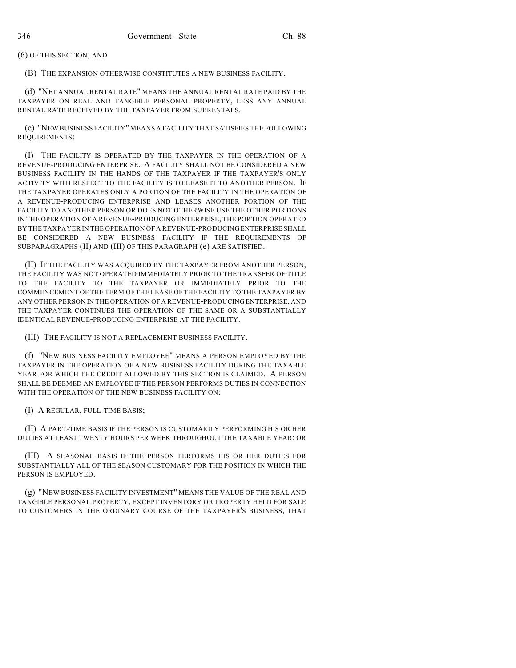(6) OF THIS SECTION; AND

(B) THE EXPANSION OTHERWISE CONSTITUTES A NEW BUSINESS FACILITY.

(d) "NET ANNUAL RENTAL RATE" MEANS THE ANNUAL RENTAL RATE PAID BY THE TAXPAYER ON REAL AND TANGIBLE PERSONAL PROPERTY, LESS ANY ANNUAL RENTAL RATE RECEIVED BY THE TAXPAYER FROM SUBRENTALS.

(e) "NEW BUSINESS FACILITY" MEANS A FACILITY THAT SATISFIES THE FOLLOWING REQUIREMENTS:

(I) THE FACILITY IS OPERATED BY THE TAXPAYER IN THE OPERATION OF A REVENUE-PRODUCING ENTERPRISE. A FACILITY SHALL NOT BE CONSIDERED A NEW BUSINESS FACILITY IN THE HANDS OF THE TAXPAYER IF THE TAXPAYER'S ONLY ACTIVITY WITH RESPECT TO THE FACILITY IS TO LEASE IT TO ANOTHER PERSON. IF THE TAXPAYER OPERATES ONLY A PORTION OF THE FACILITY IN THE OPERATION OF A REVENUE-PRODUCING ENTERPRISE AND LEASES ANOTHER PORTION OF THE FACILITY TO ANOTHER PERSON OR DOES NOT OTHERWISE USE THE OTHER PORTIONS IN THE OPERATION OF A REVENUE-PRODUCING ENTERPRISE, THE PORTION OPERATED BY THE TAXPAYER IN THE OPERATION OF A REVENUE-PRODUCING ENTERPRISE SHALL BE CONSIDERED A NEW BUSINESS FACILITY IF THE REQUIREMENTS OF SUBPARAGRAPHS (II) AND (III) OF THIS PARAGRAPH (e) ARE SATISFIED.

(II) IF THE FACILITY WAS ACQUIRED BY THE TAXPAYER FROM ANOTHER PERSON, THE FACILITY WAS NOT OPERATED IMMEDIATELY PRIOR TO THE TRANSFER OF TITLE TO THE FACILITY TO THE TAXPAYER OR IMMEDIATELY PRIOR TO THE COMMENCEMENT OF THE TERM OF THE LEASE OF THE FACILITY TO THE TAXPAYER BY ANY OTHER PERSON IN THE OPERATION OF A REVENUE-PRODUCING ENTERPRISE, AND THE TAXPAYER CONTINUES THE OPERATION OF THE SAME OR A SUBSTANTIALLY IDENTICAL REVENUE-PRODUCING ENTERPRISE AT THE FACILITY.

(III) THE FACILITY IS NOT A REPLACEMENT BUSINESS FACILITY.

(f) "NEW BUSINESS FACILITY EMPLOYEE" MEANS A PERSON EMPLOYED BY THE TAXPAYER IN THE OPERATION OF A NEW BUSINESS FACILITY DURING THE TAXABLE YEAR FOR WHICH THE CREDIT ALLOWED BY THIS SECTION IS CLAIMED. A PERSON SHALL BE DEEMED AN EMPLOYEE IF THE PERSON PERFORMS DUTIES IN CONNECTION WITH THE OPERATION OF THE NEW BUSINESS FACILITY ON:

(I) A REGULAR, FULL-TIME BASIS;

(II) A PART-TIME BASIS IF THE PERSON IS CUSTOMARILY PERFORMING HIS OR HER DUTIES AT LEAST TWENTY HOURS PER WEEK THROUGHOUT THE TAXABLE YEAR; OR

(III) A SEASONAL BASIS IF THE PERSON PERFORMS HIS OR HER DUTIES FOR SUBSTANTIALLY ALL OF THE SEASON CUSTOMARY FOR THE POSITION IN WHICH THE PERSON IS EMPLOYED.

(g) "NEW BUSINESS FACILITY INVESTMENT" MEANS THE VALUE OF THE REAL AND TANGIBLE PERSONAL PROPERTY, EXCEPT INVENTORY OR PROPERTY HELD FOR SALE TO CUSTOMERS IN THE ORDINARY COURSE OF THE TAXPAYER'S BUSINESS, THAT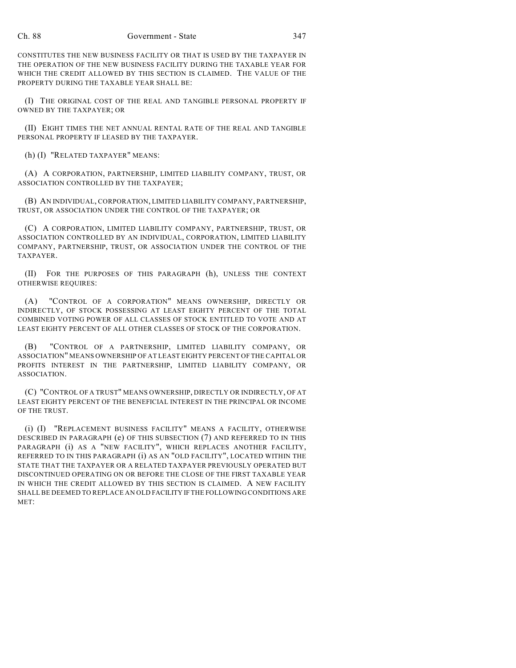CONSTITUTES THE NEW BUSINESS FACILITY OR THAT IS USED BY THE TAXPAYER IN THE OPERATION OF THE NEW BUSINESS FACILITY DURING THE TAXABLE YEAR FOR WHICH THE CREDIT ALLOWED BY THIS SECTION IS CLAIMED. THE VALUE OF THE PROPERTY DURING THE TAXABLE YEAR SHALL BE:

(I) THE ORIGINAL COST OF THE REAL AND TANGIBLE PERSONAL PROPERTY IF OWNED BY THE TAXPAYER; OR

(II) EIGHT TIMES THE NET ANNUAL RENTAL RATE OF THE REAL AND TANGIBLE PERSONAL PROPERTY IF LEASED BY THE TAXPAYER.

(h) (I) "RELATED TAXPAYER" MEANS:

(A) A CORPORATION, PARTNERSHIP, LIMITED LIABILITY COMPANY, TRUST, OR ASSOCIATION CONTROLLED BY THE TAXPAYER;

(B) AN INDIVIDUAL, CORPORATION, LIMITED LIABILITY COMPANY, PARTNERSHIP, TRUST, OR ASSOCIATION UNDER THE CONTROL OF THE TAXPAYER; OR

(C) A CORPORATION, LIMITED LIABILITY COMPANY, PARTNERSHIP, TRUST, OR ASSOCIATION CONTROLLED BY AN INDIVIDUAL, CORPORATION, LIMITED LIABILITY COMPANY, PARTNERSHIP, TRUST, OR ASSOCIATION UNDER THE CONTROL OF THE TAXPAYER.

(II) FOR THE PURPOSES OF THIS PARAGRAPH (h), UNLESS THE CONTEXT OTHERWISE REQUIRES:

(A) "CONTROL OF A CORPORATION" MEANS OWNERSHIP, DIRECTLY OR INDIRECTLY, OF STOCK POSSESSING AT LEAST EIGHTY PERCENT OF THE TOTAL COMBINED VOTING POWER OF ALL CLASSES OF STOCK ENTITLED TO VOTE AND AT LEAST EIGHTY PERCENT OF ALL OTHER CLASSES OF STOCK OF THE CORPORATION.

(B) "CONTROL OF A PARTNERSHIP, LIMITED LIABILITY COMPANY, OR ASSOCIATION" MEANS OWNERSHIP OF AT LEAST EIGHTY PERCENT OF THE CAPITAL OR PROFITS INTEREST IN THE PARTNERSHIP, LIMITED LIABILITY COMPANY, OR ASSOCIATION.

(C) "CONTROL OF A TRUST" MEANS OWNERSHIP, DIRECTLY OR INDIRECTLY, OF AT LEAST EIGHTY PERCENT OF THE BENEFICIAL INTEREST IN THE PRINCIPAL OR INCOME OF THE TRUST.

(i) (I) "REPLACEMENT BUSINESS FACILITY" MEANS A FACILITY, OTHERWISE DESCRIBED IN PARAGRAPH (e) OF THIS SUBSECTION (7) AND REFERRED TO IN THIS PARAGRAPH (i) AS A "NEW FACILITY", WHICH REPLACES ANOTHER FACILITY, REFERRED TO IN THIS PARAGRAPH (i) AS AN "OLD FACILITY", LOCATED WITHIN THE STATE THAT THE TAXPAYER OR A RELATED TAXPAYER PREVIOUSLY OPERATED BUT DISCONTINUED OPERATING ON OR BEFORE THE CLOSE OF THE FIRST TAXABLE YEAR IN WHICH THE CREDIT ALLOWED BY THIS SECTION IS CLAIMED. A NEW FACILITY SHALL BE DEEMED TO REPLACE AN OLD FACILITY IF THE FOLLOWING CONDITIONS ARE MET: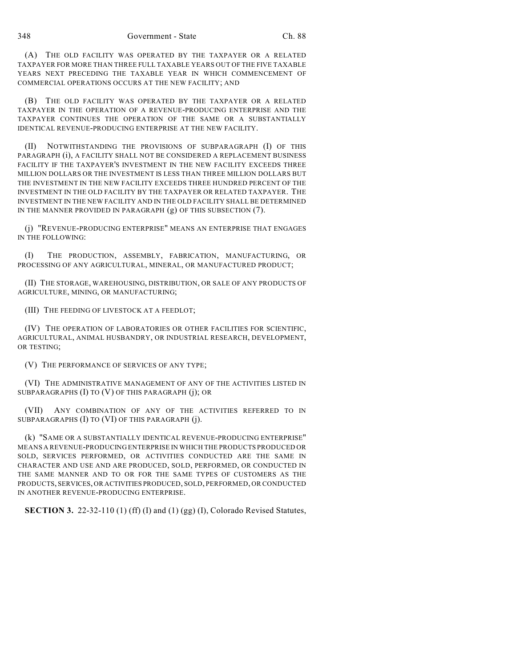(A) THE OLD FACILITY WAS OPERATED BY THE TAXPAYER OR A RELATED TAXPAYER FOR MORE THAN THREE FULL TAXABLE YEARS OUT OF THE FIVE TAXABLE YEARS NEXT PRECEDING THE TAXABLE YEAR IN WHICH COMMENCEMENT OF COMMERCIAL OPERATIONS OCCURS AT THE NEW FACILITY; AND

(B) THE OLD FACILITY WAS OPERATED BY THE TAXPAYER OR A RELATED TAXPAYER IN THE OPERATION OF A REVENUE-PRODUCING ENTERPRISE AND THE TAXPAYER CONTINUES THE OPERATION OF THE SAME OR A SUBSTANTIALLY IDENTICAL REVENUE-PRODUCING ENTERPRISE AT THE NEW FACILITY.

(II) NOTWITHSTANDING THE PROVISIONS OF SUBPARAGRAPH (I) OF THIS PARAGRAPH (i), A FACILITY SHALL NOT BE CONSIDERED A REPLACEMENT BUSINESS FACILITY IF THE TAXPAYER'S INVESTMENT IN THE NEW FACILITY EXCEEDS THREE MILLION DOLLARS OR THE INVESTMENT IS LESS THAN THREE MILLION DOLLARS BUT THE INVESTMENT IN THE NEW FACILITY EXCEEDS THREE HUNDRED PERCENT OF THE INVESTMENT IN THE OLD FACILITY BY THE TAXPAYER OR RELATED TAXPAYER. THE INVESTMENT IN THE NEW FACILITY AND IN THE OLD FACILITY SHALL BE DETERMINED IN THE MANNER PROVIDED IN PARAGRAPH (g) OF THIS SUBSECTION (7).

(j) "REVENUE-PRODUCING ENTERPRISE" MEANS AN ENTERPRISE THAT ENGAGES IN THE FOLLOWING:

(I) THE PRODUCTION, ASSEMBLY, FABRICATION, MANUFACTURING, OR PROCESSING OF ANY AGRICULTURAL, MINERAL, OR MANUFACTURED PRODUCT;

(II) THE STORAGE, WAREHOUSING, DISTRIBUTION, OR SALE OF ANY PRODUCTS OF AGRICULTURE, MINING, OR MANUFACTURING;

(III) THE FEEDING OF LIVESTOCK AT A FEEDLOT;

(IV) THE OPERATION OF LABORATORIES OR OTHER FACILITIES FOR SCIENTIFIC, AGRICULTURAL, ANIMAL HUSBANDRY, OR INDUSTRIAL RESEARCH, DEVELOPMENT, OR TESTING;

(V) THE PERFORMANCE OF SERVICES OF ANY TYPE;

(VI) THE ADMINISTRATIVE MANAGEMENT OF ANY OF THE ACTIVITIES LISTED IN SUBPARAGRAPHS (I) TO (V) OF THIS PARAGRAPH (j); OR

(VII) ANY COMBINATION OF ANY OF THE ACTIVITIES REFERRED TO IN SUBPARAGRAPHS (I) TO (VI) OF THIS PARAGRAPH (j).

(k) "SAME OR A SUBSTANTIALLY IDENTICAL REVENUE-PRODUCING ENTERPRISE" MEANS A REVENUE-PRODUCING ENTERPRISE IN WHICH THE PRODUCTS PRODUCED OR SOLD, SERVICES PERFORMED, OR ACTIVITIES CONDUCTED ARE THE SAME IN CHARACTER AND USE AND ARE PRODUCED, SOLD, PERFORMED, OR CONDUCTED IN THE SAME MANNER AND TO OR FOR THE SAME TYPES OF CUSTOMERS AS THE PRODUCTS, SERVICES, OR ACTIVITIES PRODUCED, SOLD, PERFORMED, OR CONDUCTED IN ANOTHER REVENUE-PRODUCING ENTERPRISE.

**SECTION 3.** 22-32-110 (1) (ff) (I) and (1) (gg) (I), Colorado Revised Statutes,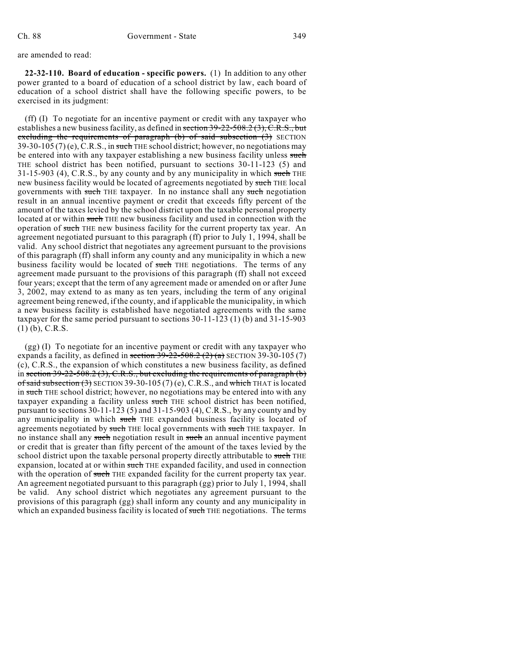are amended to read:

**22-32-110. Board of education - specific powers.** (1) In addition to any other power granted to a board of education of a school district by law, each board of education of a school district shall have the following specific powers, to be exercised in its judgment:

(ff) (I) To negotiate for an incentive payment or credit with any taxpayer who establishes a new business facility, as defined in section 39-22-508.2 (3), C.R.S., but excluding the requirements of paragraph (b) of said subsection (3) SECTION  $39-30-105(7)$  (e), C.R.S., in such THE school district; however, no negotiations may be entered into with any taxpayer establishing a new business facility unless such THE school district has been notified, pursuant to sections 30-11-123 (5) and  $31-15-903$  (4), C.R.S., by any county and by any municipality in which such THE new business facility would be located of agreements negotiated by such THE local governments with such THE taxpayer. In no instance shall any such negotiation result in an annual incentive payment or credit that exceeds fifty percent of the amount of the taxes levied by the school district upon the taxable personal property located at or within such THE new business facility and used in connection with the operation of such THE new business facility for the current property tax year. An agreement negotiated pursuant to this paragraph (ff) prior to July 1, 1994, shall be valid. Any school district that negotiates any agreement pursuant to the provisions of this paragraph (ff) shall inform any county and any municipality in which a new business facility would be located of such THE negotiations. The terms of any agreement made pursuant to the provisions of this paragraph (ff) shall not exceed four years; except that the term of any agreement made or amended on or after June 3, 2002, may extend to as many as ten years, including the term of any original agreement being renewed, if the county, and if applicable the municipality, in which a new business facility is established have negotiated agreements with the same taxpayer for the same period pursuant to sections 30-11-123 (1) (b) and 31-15-903  $(1)$  (b), C.R.S.

(gg) (I) To negotiate for an incentive payment or credit with any taxpayer who expands a facility, as defined in section  $39-22-508.2$  (2) (a) SECTION 39-30-105 (7) (c), C.R.S., the expansion of which constitutes a new business facility, as defined in section 39-22-508.2 (3), C.R.S., but excluding the requirements of paragraph (b) of said subsection  $(3)$  SECTION 39-30-105 (7) (e), C.R.S., and which THAT is located in such THE school district; however, no negotiations may be entered into with any taxpayer expanding a facility unless such THE school district has been notified, pursuant to sections 30-11-123 (5) and 31-15-903 (4), C.R.S., by any county and by any municipality in which such THE expanded business facility is located of agreements negotiated by such THE local governments with such THE taxpayer. In no instance shall any such negotiation result in such an annual incentive payment or credit that is greater than fifty percent of the amount of the taxes levied by the school district upon the taxable personal property directly attributable to such THE expansion, located at or within such THE expanded facility, and used in connection with the operation of such THE expanded facility for the current property tax year. An agreement negotiated pursuant to this paragraph (gg) prior to July 1, 1994, shall be valid. Any school district which negotiates any agreement pursuant to the provisions of this paragraph (gg) shall inform any county and any municipality in which an expanded business facility is located of such THE negotiations. The terms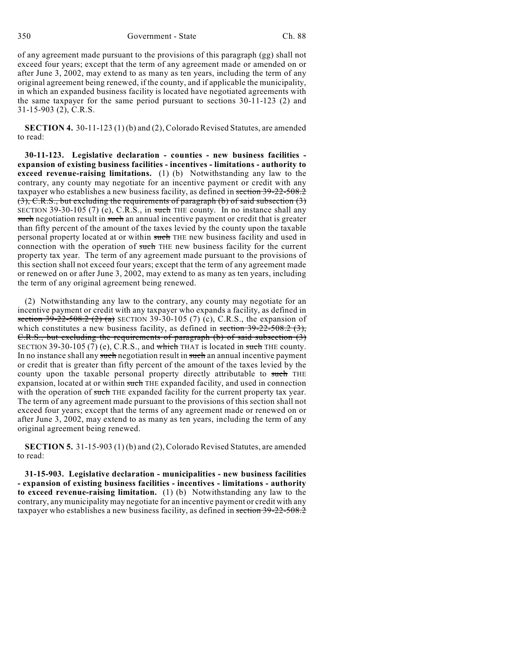of any agreement made pursuant to the provisions of this paragraph (gg) shall not exceed four years; except that the term of any agreement made or amended on or after June 3, 2002, may extend to as many as ten years, including the term of any original agreement being renewed, if the county, and if applicable the municipality, in which an expanded business facility is located have negotiated agreements with the same taxpayer for the same period pursuant to sections 30-11-123 (2) and 31-15-903 (2), C.R.S.

**SECTION 4.** 30-11-123 (1) (b) and (2), Colorado Revised Statutes, are amended to read:

**30-11-123. Legislative declaration - counties - new business facilities expansion of existing business facilities - incentives - limitations - authority to exceed revenue-raising limitations.** (1) (b) Notwithstanding any law to the contrary, any county may negotiate for an incentive payment or credit with any taxpayer who establishes a new business facility, as defined in section 39-22-508.2  $(3)$ , C.R.S., but excluding the requirements of paragraph (b) of said subsection  $(3)$ SECTION 39-30-105 (7) (e), C.R.S., in such THE county. In no instance shall any such negotiation result in such an annual incentive payment or credit that is greater than fifty percent of the amount of the taxes levied by the county upon the taxable personal property located at or within such THE new business facility and used in connection with the operation of such THE new business facility for the current property tax year. The term of any agreement made pursuant to the provisions of this section shall not exceed four years; except that the term of any agreement made or renewed on or after June 3, 2002, may extend to as many as ten years, including the term of any original agreement being renewed.

(2) Notwithstanding any law to the contrary, any county may negotiate for an incentive payment or credit with any taxpayer who expands a facility, as defined in section  $39-22-508.2$  (2) (a) SECTION 39-30-105 (7) (c), C.R.S., the expansion of which constitutes a new business facility, as defined in section  $39-22-508.2$  (3), C.R.S., but excluding the requirements of paragraph (b) of said subsection (3) SECTION 39-30-105 (7) (e), C.R.S., and which THAT is located in such THE county. In no instance shall any such negotiation result in such an annual incentive payment or credit that is greater than fifty percent of the amount of the taxes levied by the county upon the taxable personal property directly attributable to such THE expansion, located at or within such THE expanded facility, and used in connection with the operation of such THE expanded facility for the current property tax year. The term of any agreement made pursuant to the provisions of this section shall not exceed four years; except that the terms of any agreement made or renewed on or after June 3, 2002, may extend to as many as ten years, including the term of any original agreement being renewed.

**SECTION 5.** 31-15-903 (1) (b) and (2), Colorado Revised Statutes, are amended to read:

**31-15-903. Legislative declaration - municipalities - new business facilities - expansion of existing business facilities - incentives - limitations - authority to exceed revenue-raising limitation.** (1) (b) Notwithstanding any law to the contrary, any municipality may negotiate for an incentive payment or credit with any taxpayer who establishes a new business facility, as defined in section 39-22-508.2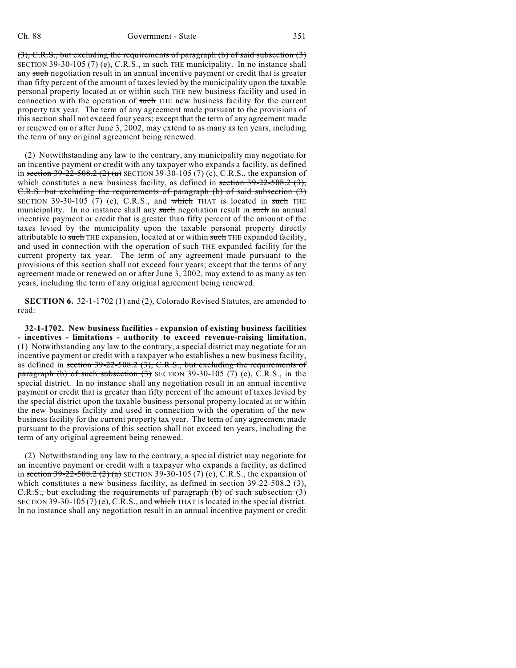(3), C.R.S., but excluding the requirements of paragraph (b) of said subsection (3) SECTION 39-30-105 (7) (e), C.R.S., in such THE municipality. In no instance shall any such negotiation result in an annual incentive payment or credit that is greater than fifty percent of the amount of taxes levied by the municipality upon the taxable personal property located at or within such THE new business facility and used in connection with the operation of such THE new business facility for the current property tax year. The term of any agreement made pursuant to the provisions of this section shall not exceed four years; except that the term of any agreement made or renewed on or after June 3, 2002, may extend to as many as ten years, including the term of any original agreement being renewed.

(2) Notwithstanding any law to the contrary, any municipality may negotiate for an incentive payment or credit with any taxpayer who expands a facility, as defined in section 39-22-508.2 (2) (a) SECTION 39-30-105 (7) (c), C.R.S., the expansion of which constitutes a new business facility, as defined in section  $39-22-508.2$  (3), C.R.S. but excluding the requirements of paragraph (b) of said subsection (3) SECTION 39-30-105 (7) (e), C.R.S., and which THAT is located in such THE municipality. In no instance shall any such negotiation result in such an annual incentive payment or credit that is greater than fifty percent of the amount of the taxes levied by the municipality upon the taxable personal property directly attributable to such THE expansion, located at or within such THE expanded facility, and used in connection with the operation of such THE expanded facility for the current property tax year. The term of any agreement made pursuant to the provisions of this section shall not exceed four years; except that the terms of any agreement made or renewed on or after June 3, 2002, may extend to as many as ten years, including the term of any original agreement being renewed.

**SECTION 6.** 32-1-1702 (1) and (2), Colorado Revised Statutes, are amended to read:

**32-1-1702. New business facilities - expansion of existing business facilities - incentives - limitations - authority to exceed revenue-raising limitation.** (1) Notwithstanding any law to the contrary, a special district may negotiate for an incentive payment or credit with a taxpayer who establishes a new business facility, as defined in section  $39-22-508.2$  (3), C.R.S., but excluding the requirements of paragraph (b) of such subsection  $(3)$  SECTION 39-30-105 (7) (e), C.R.S., in the special district. In no instance shall any negotiation result in an annual incentive payment or credit that is greater than fifty percent of the amount of taxes levied by the special district upon the taxable business personal property located at or within the new business facility and used in connection with the operation of the new business facility for the current property tax year. The term of any agreement made pursuant to the provisions of this section shall not exceed ten years, including the term of any original agreement being renewed.

(2) Notwithstanding any law to the contrary, a special district may negotiate for an incentive payment or credit with a taxpayer who expands a facility, as defined in section 39-22-508.2 (2) (a) SECTION 39-30-105 (7) (c), C.R.S., the expansion of which constitutes a new business facility, as defined in section  $39-22-508.2$  (3), C.R.S., but excluding the requirements of paragraph (b) of such subsection (3) SECTION 39-30-105 (7) (e), C.R.S., and which THAT is located in the special district. In no instance shall any negotiation result in an annual incentive payment or credit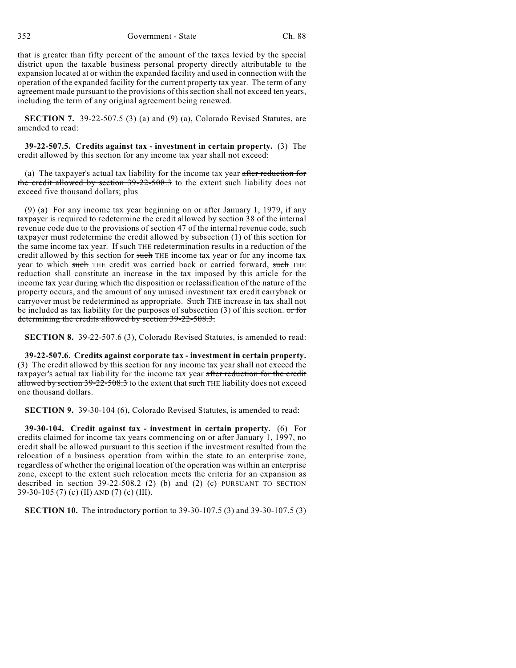352 Government - State Ch. 88

that is greater than fifty percent of the amount of the taxes levied by the special district upon the taxable business personal property directly attributable to the expansion located at or within the expanded facility and used in connection with the operation of the expanded facility for the current property tax year. The term of any agreement made pursuant to the provisions of this section shall not exceed ten years, including the term of any original agreement being renewed.

**SECTION 7.** 39-22-507.5 (3) (a) and (9) (a), Colorado Revised Statutes, are amended to read:

**39-22-507.5. Credits against tax - investment in certain property.** (3) The credit allowed by this section for any income tax year shall not exceed:

(a) The taxpayer's actual tax liability for the income tax year after reduction for the credit allowed by section 39-22-508.3 to the extent such liability does not exceed five thousand dollars; plus

(9) (a) For any income tax year beginning on or after January 1, 1979, if any taxpayer is required to redetermine the credit allowed by section 38 of the internal revenue code due to the provisions of section 47 of the internal revenue code, such taxpayer must redetermine the credit allowed by subsection (1) of this section for the same income tax year. If such THE redetermination results in a reduction of the credit allowed by this section for such THE income tax year or for any income tax year to which such THE credit was carried back or carried forward, such THE reduction shall constitute an increase in the tax imposed by this article for the income tax year during which the disposition or reclassification of the nature of the property occurs, and the amount of any unused investment tax credit carryback or carryover must be redetermined as appropriate. Such THE increase in tax shall not be included as tax liability for the purposes of subsection  $(3)$  of this section. or for determining the credits allowed by section 39-22-508.3.

**SECTION 8.** 39-22-507.6 (3), Colorado Revised Statutes, is amended to read:

**39-22-507.6. Credits against corporate tax - investment in certain property.** (3) The credit allowed by this section for any income tax year shall not exceed the taxpayer's actual tax liability for the income tax year after reduction for the credit allowed by section  $39-22-508.3$  to the extent that such THE liability does not exceed one thousand dollars.

**SECTION 9.** 39-30-104 (6), Colorado Revised Statutes, is amended to read:

**39-30-104. Credit against tax - investment in certain property.** (6) For credits claimed for income tax years commencing on or after January 1, 1997, no credit shall be allowed pursuant to this section if the investment resulted from the relocation of a business operation from within the state to an enterprise zone, regardless of whether the original location of the operation was within an enterprise zone, except to the extent such relocation meets the criteria for an expansion as described in section  $39-22-508.2$  (2) (b) and (2) (c) PURSUANT TO SECTION 39-30-105 (7) (c) (II) AND (7) (c) (III).

**SECTION 10.** The introductory portion to 39-30-107.5 (3) and 39-30-107.5 (3)